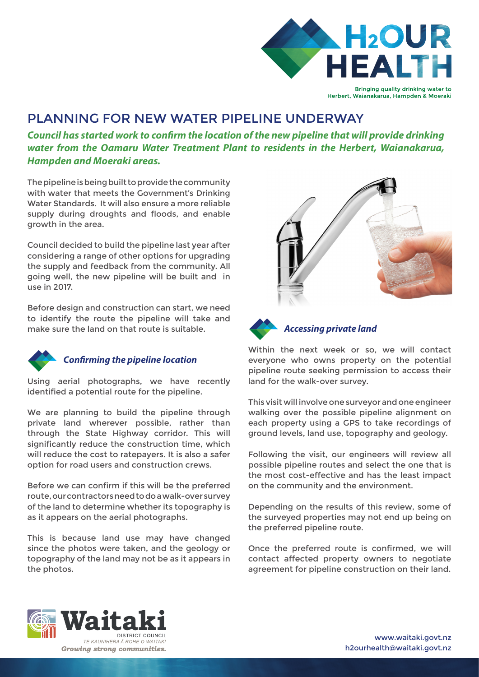

# PLANNING FOR NEW WATER PIPELINE UNDERWAY

*Council has started work to con***f***rm the location of the new pipeline that will provide drinking water from the Oamaru Water Treatment Plant to residents in the Herbert, Waianakarua, Hampden and Moeraki areas.*

The pipeline is being built to provide the community with water that meets the Government's Drinking Water Standards. It will also ensure a more reliable supply during droughts and floods, and enable growth in the area.

Council decided to build the pipeline last year after considering a range of other options for upgrading the supply and feedback from the community. All going well, the new pipeline will be built and in use in 2017.

Before design and construction can start, we need to identify the route the pipeline will take and make sure the land on that route is suitable.



#### *Con***f***rming the pipeline location*

Using aerial photographs, we have recently identifed a potential route for the pipeline.

We are planning to build the pipeline through private land wherever possible, rather than through the State Highway corridor. This will significantly reduce the construction time, which will reduce the cost to ratepayers. It is also a safer option for road users and construction crews.

Before we can confirm if this will be the preferred route, our contractors need to do a walk-over survey of the land to determine whether its topography is as it appears on the aerial photographs.

This is because land use may have changed since the photos were taken, and the geology or topography of the land may not be as it appears in the photos.





Within the next week or so, we will contact everyone who owns property on the potential pipeline route seeking permission to access their land for the walk-over survey.

This visit will involve one surveyor and one engineer walking over the possible pipeline alignment on each property using a GPS to take recordings of ground levels, land use, topography and geology.

Following the visit, our engineers will review all possible pipeline routes and select the one that is the most cost-effective and has the least impact on the community and the environment.

Depending on the results of this review, some of the surveyed properties may not end up being on the preferred pipeline route.

Once the preferred route is confrmed, we will contact affected property owners to negotiate agreement for pipeline construction on their land.





www.waitaki.govt.nz h2ourhealth@waitaki.govt.nz